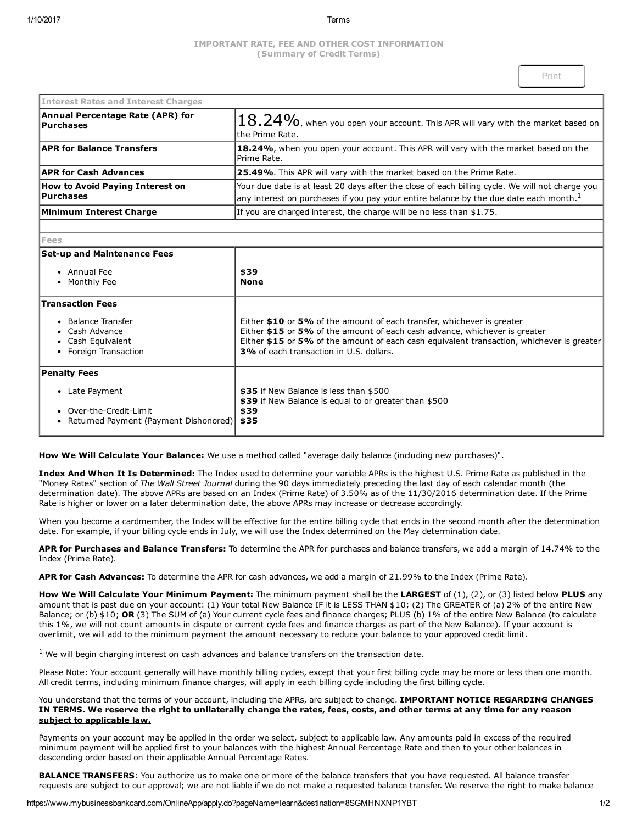# IMPORTANT RATE, FEE AND OTHER COST INFORMATION (Summary of Credit Terms)

| <b>Interest Rates and Interest Charges</b>           |                                                                                                                                                                                                      |
|------------------------------------------------------|------------------------------------------------------------------------------------------------------------------------------------------------------------------------------------------------------|
| Annual Percentage Rate (APR) for<br><b>Purchases</b> | $ 18.24\%$ , when you open your account. This APR will vary with the market based on $^{\dagger}$<br>lthe Prime Rate.                                                                                |
| <b>APR for Balance Transfers</b>                     | 18.24%, when you open your account. This APR will vary with the market based on the<br>Prime Rate.                                                                                                   |
| <b>APR for Cash Advances</b>                         | <b>25.49%</b> . This APR will vary with the market based on the Prime Rate.                                                                                                                          |
| <b>How to Avoid Paying Interest on</b><br>Purchases  | Your due date is at least 20 days after the close of each billing cycle. We will not charge you<br>any interest on purchases if you pay your entire balance by the due date each month. <sup>1</sup> |
| Minimum Interest Charge                              | If you are charged interest, the charge will be no less than \$1.75.                                                                                                                                 |

### Fees

# $\sf S$ et-un and Maintenance Fees

| \$39<br><b>None</b>                                                                                                                                                                                                                                                                                 |
|-----------------------------------------------------------------------------------------------------------------------------------------------------------------------------------------------------------------------------------------------------------------------------------------------------|
|                                                                                                                                                                                                                                                                                                     |
| Either \$10 or 5% of the amount of each transfer, whichever is greater<br>Either \$15 or 5% of the amount of each cash advance, whichever is greater<br>Either \$15 or 5% of the amount of each cash equivalent transaction, whichever is greater<br><b>3%</b> of each transaction in U.S. dollars. |
|                                                                                                                                                                                                                                                                                                     |
| \$35 if New Balance is less than \$500<br>\$39 if New Balance is equal to or greater than \$500<br>\$39<br>Returned Payment (Payment Dishonored)<br>\$35                                                                                                                                            |
|                                                                                                                                                                                                                                                                                                     |

How We Will Calculate Your Balance: We use a method called "average daily balance (including new purchases)".

J.

Index And When It Is Determined: The Index used to determine your variable APRs is the highest U.S. Prime Rate as published in the "Money Rates" section of The Wall Street Journal during the 90 days immediately preceding the last day of each calendar month (the determination date). The above APRs are based on an Index (Prime Rate) of 3.50% as of the 11/30/2016 determination date. If the Prime Rate is higher or lower on a later determination date, the above APRs may increase or decrease accordingly.

When you become a cardmember, the Index will be effective for the entire billing cycle that ends in the second month after the determination date. For example, if your billing cycle ends in July, we will use the Index determined on the May determination date.

APR for Purchases and Balance Transfers: To determine the APR for purchases and balance transfers, we add a margin of 14.74% to the Index (Prime Rate).

APR for Cash Advances: To determine the APR for cash advances, we add a margin of 21.99% to the Index (Prime Rate).

How We Will Calculate Your Minimum Payment: The minimum payment shall be the LARGEST of (1), (2), or (3) listed below PLUS any amount that is past due on your account: (1) Your total New Balance IF it is LESS THAN \$10; (2) The GREATER of (a) 2% of the entire New Balance; or (b)  $$10$ ; OR (3) The SUM of (a) Your current cycle fees and finance charges; PLUS (b) 1% of the entire New Balance (to calculate this 1%, we will not count amounts in dispute or current cycle fees and finance charges as part of the New Balance). If your account is overlimit, we will add to the minimum payment the amount necessary to reduce your balance to your approved credit limit.

 $<sup>1</sup>$  We will begin charging interest on cash advances and balance transfers on the transaction date.</sup>

Please Note: Your account generally will have monthly billing cycles, except that your first billing cycle may be more or less than one month. All credit terms, including minimum finance charges, will apply in each billing cycle including the first billing cycle.

You understand that the terms of your account, including the APRs, are subject to change. IMPORTANT NOTICE REGARDING CHANGES IN TERMS. We reserve the right to unilaterally change the rates, fees, costs, and other terms at any time for any reason subject to applicable law.

Payments on your account may be applied in the order we select, subject to applicable law. Any amounts paid in excess of the required minimum payment will be applied first to your balances with the highest Annual Percentage Rate and then to your other balances in descending order based on their applicable Annual Percentage Rates.

BALANCE TRANSFERS: You authorize us to make one or more of the balance transfers that you have requested. All balance transfer requests are subject to our approval; we are not liable if we do not make a requested balance transfer. We reserve the right to make balance

https://www.mybusinessbankcard.com/OnlineApp/apply.do?pageName=learn&destination=8SGMHNXNP1YBT 1/2